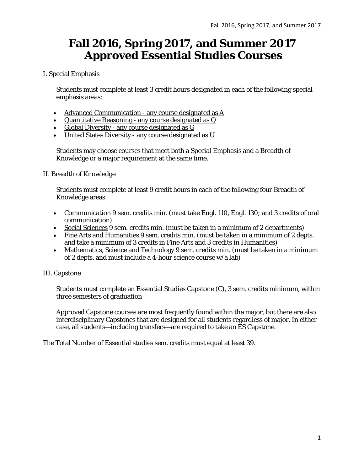## **Fall 2016, Spring 2017, and Summer 2017 Approved Essential Studies Courses**

#### I. Special Emphasis

Students must complete at least 3 credit hours designated in each of the following special emphasis areas:

- Advanced Communication any course designated as A
- Quantitative Reasoning any course designated as Q
- Global Diversity any course designated as G
- United States Diversity any course designated as U

Students may choose courses that meet both a Special Emphasis and a Breadth of Knowledge or a major requirement at the same time.

#### II. Breadth of Knowledge

Students must complete at least 9 credit hours in each of the following four Breadth of Knowledge areas:

- Communication 9 sem. credits min. (must take Engl. 110, Engl. 130; and 3 credits of oral communication)
- Social Sciences 9 sem. credits min. (must be taken in a minimum of 2 departments)
- Fine Arts and Humanities 9 sem. credits min. (must be taken in a minimum of 2 depts. and take a minimum of 3 credits in Fine Arts and 3 credits in Humanities)
- Mathematics, Science and Technology 9 sem. credits min. (must be taken in a minimum of 2 depts. and must include a 4-hour science course w/a lab)

#### III. Capstone

Students must complete an Essential Studies Capstone (C), 3 sem. credits minimum, within three semesters of graduation

Approved Capstone courses are most frequently found within the major, but there are also interdisciplinary Capstones that are designed for all students regardless of major. In either case, all students—including transfers—are required to take an ES Capstone.

The Total Number of Essential studies sem. credits must equal at least 39.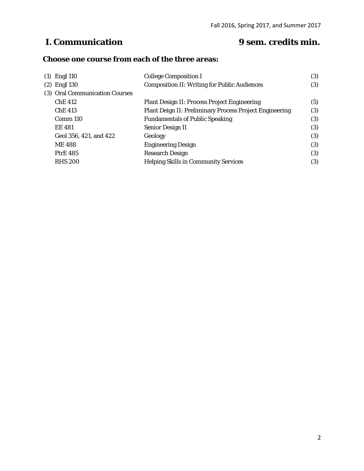## **I. Communication 9 sem. credits min.**

#### **Choose one course from each of the three areas:**

| $(1)$ Engl 110                 | <b>College Composition I</b>                            | (3) |
|--------------------------------|---------------------------------------------------------|-----|
| $(2)$ Engl 130                 | <b>Composition II: Writing for Public Audiences</b>     | (3) |
| (3) Oral Communication Courses |                                                         |     |
| <b>ChE 412</b>                 | <b>Plant Design II: Process Project Engineering</b>     | (5) |
| <b>ChE 413</b>                 | Plant Deign II: Preliminary Process Project Engineering | (3) |
| Comm 110                       | <b>Fundamentals of Public Speaking</b>                  | (3) |
| <b>EE 481</b>                  | <b>Senior Design II</b>                                 | (3) |
| Geol 356, 421, and 422         | Geology                                                 | (3) |
| <b>ME488</b>                   | <b>Engineering Design</b>                               | (3) |
| <b>PtrE 485</b>                | <b>Research Design</b>                                  | (3) |
| <b>RHS 200</b>                 | <b>Helping Skills in Community Services</b>             | (3) |
|                                |                                                         |     |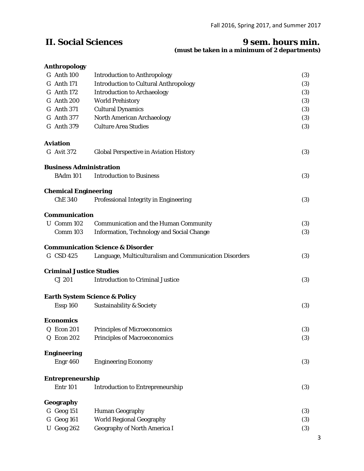#### **II. Social Sciences 9 sem. hours min. (must be taken in a minimum of 2 departments)**

#### **Anthropology**

| G Anth 100                      | <b>Introduction to Anthropology</b>                    | (3) |
|---------------------------------|--------------------------------------------------------|-----|
| G Anth 171                      | <b>Introduction to Cultural Anthropology</b>           | (3) |
| G Anth 172                      | <b>Introduction to Archaeology</b>                     | (3) |
| G Anth 200                      | <b>World Prehistory</b>                                | (3) |
| G Anth 371                      | <b>Cultural Dynamics</b>                               | (3) |
| G Anth 377                      | <b>North American Archaeology</b>                      | (3) |
| G Anth 379                      | <b>Culture Area Studies</b>                            | (3) |
| <b>Aviation</b>                 |                                                        |     |
| G Avit 372                      | <b>Global Perspective in Aviation History</b>          | (3) |
| <b>Business Administration</b>  |                                                        |     |
| <b>BAdm 101</b>                 | <b>Introduction to Business</b>                        | (3) |
| <b>Chemical Engineering</b>     |                                                        |     |
| <b>ChE 340</b>                  | Professional Integrity in Engineering                  | (3) |
| <b>Communication</b>            |                                                        |     |
| U Comm 102                      | <b>Communication and the Human Community</b>           | (3) |
| Comm 103                        | <b>Information, Technology and Social Change</b>       | (3) |
|                                 | <b>Communication Science &amp; Disorder</b>            |     |
| G CSD 425                       | Language, Multiculturalism and Communication Disorders | (3) |
| <b>Criminal Justice Studies</b> |                                                        |     |
| CJ 201                          | <b>Introduction to Criminal Justice</b>                | (3) |
|                                 | <b>Earth System Science &amp; Policy</b>               |     |
| Essp 160                        | <b>Sustainability &amp; Society</b>                    | (3) |
| <b>Economics</b>                |                                                        |     |
| <b>Q</b> Econ 201               | <b>Principles of Microeconomics</b>                    | (3) |
| Q Econ 202                      | <b>Principles of Macroeconomics</b>                    | (3) |
| <b>Engineering</b>              |                                                        |     |
| Engr 460                        | <b>Engineering Economy</b>                             | (3) |
| Entrepreneurship                |                                                        |     |
| <b>Entr 101</b>                 | <b>Introduction to Entrepreneurship</b>                | (3) |
| Geography                       |                                                        |     |
| G Geog 151                      | <b>Human Geography</b>                                 | (3) |
| G Geog 161                      | <b>World Regional Geography</b>                        | (3) |
| <b>U</b> Geog 262               | <b>Geography of North America I</b>                    | (3) |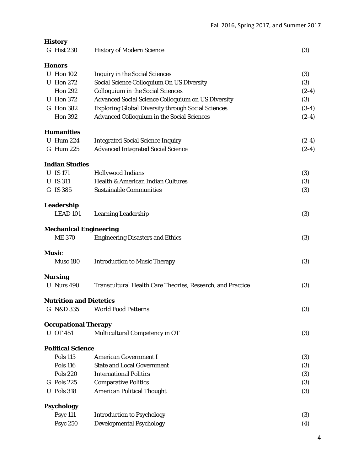| <b>History</b>                 |                                                            |         |
|--------------------------------|------------------------------------------------------------|---------|
| G Hist 230                     | <b>History of Modern Science</b>                           | (3)     |
| <b>Honors</b>                  |                                                            |         |
| <b>U</b> Hon 102               | <b>Inquiry in the Social Sciences</b>                      | (3)     |
| <b>U</b> Hon 272               | Social Science Colloquium On US Diversity                  | (3)     |
| <b>Hon 292</b>                 | <b>Colloquium in the Social Sciences</b>                   | $(2-4)$ |
| <b>U</b> Hon 372               | <b>Advanced Social Science Colloquium on US Diversity</b>  | (3)     |
| G Hon 382                      | <b>Exploring Global Diversity through Social Sciences</b>  | $(3-4)$ |
| <b>Hon 392</b>                 | <b>Advanced Colloquium in the Social Sciences</b>          | $(2-4)$ |
| <b>Humanities</b>              |                                                            |         |
| <b>U</b> Hum 224               | <b>Integrated Social Science Inquiry</b>                   | $(2-4)$ |
| G Hum 225                      | <b>Advanced Integrated Social Science</b>                  | $(2-4)$ |
| <b>Indian Studies</b>          |                                                            |         |
| <b>U</b> IS 171                | <b>Hollywood Indians</b>                                   | (3)     |
| <b>U</b> IS 311                | Health & American Indian Cultures                          | (3)     |
| G IS 385                       | <b>Sustainable Communities</b>                             | (3)     |
| Leadership                     |                                                            |         |
| <b>LEAD 101</b>                | <b>Learning Leadership</b>                                 | (3)     |
| <b>Mechanical Engineering</b>  |                                                            |         |
| <b>ME370</b>                   | <b>Engineering Disasters and Ethics</b>                    | (3)     |
| <b>Music</b>                   |                                                            |         |
| Musc 180                       | <b>Introduction to Music Therapy</b>                       | (3)     |
| <b>Nursing</b>                 |                                                            |         |
| <b>U</b> Nurs 490              | Transcultural Health Care Theories, Research, and Practice | (3)     |
| <b>Nutrition and Dietetics</b> |                                                            |         |
| G N&D 335                      | <b>World Food Patterns</b>                                 | (3)     |
| <b>Occupational Therapy</b>    |                                                            |         |
| <b>U</b> OT 451                | Multicultural Competency in OT                             | (3)     |
| <b>Political Science</b>       |                                                            |         |
| <b>Pols 115</b>                | <b>American Government I</b>                               | (3)     |
| <b>Pols 116</b>                | <b>State and Local Government</b>                          | (3)     |
| <b>Pols 220</b>                | <b>International Politics</b>                              | (3)     |
| G Pols 225                     | <b>Comparative Politics</b>                                | (3)     |
| <b>U</b> Pols 318              | <b>American Political Thought</b>                          | (3)     |
| <b>Psychology</b>              |                                                            |         |
| <b>Psyc 111</b>                | <b>Introduction to Psychology</b>                          | (3)     |
| <b>Psyc 250</b>                | <b>Developmental Psychology</b>                            | (4)     |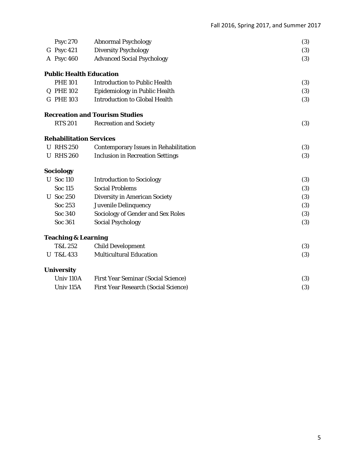| <b>Psyc 270</b>                | <b>Abnormal Psychology</b>                   | (3) |
|--------------------------------|----------------------------------------------|-----|
| G Psyc 421                     | <b>Diversity Psychology</b>                  | (3) |
| A Psyc 460                     | <b>Advanced Social Psychology</b>            | (3) |
| <b>Public Health Education</b> |                                              |     |
| <b>PHE 101</b>                 | <b>Introduction to Public Health</b>         | (3) |
| Q PHE 102                      | <b>Epidemiology in Public Health</b>         | (3) |
| G PHE 103                      | <b>Introduction to Global Health</b>         | (3) |
|                                | <b>Recreation and Tourism Studies</b>        |     |
| <b>RTS 201</b>                 | <b>Recreation and Society</b>                | (3) |
| <b>Rehabilitation Services</b> |                                              |     |
| <b>U RHS 250</b>               | <b>Contemporary Issues in Rehabilitation</b> | (3) |
| <b>U RHS 260</b>               | <b>Inclusion in Recreation Settings</b>      | (3) |
| Sociology                      |                                              |     |
| <b>U</b> Soc 110               | <b>Introduction to Sociology</b>             | (3) |
| <b>Soc 115</b>                 | <b>Social Problems</b>                       | (3) |
| <b>U</b> Soc 250               | <b>Diversity in American Society</b>         | (3) |
| Soc 253                        | <b>Juvenile Delinquency</b>                  | (3) |
| Soc 340                        | <b>Sociology of Gender and Sex Roles</b>     | (3) |
| Soc 361                        | <b>Social Psychology</b>                     | (3) |
| <b>Teaching &amp; Learning</b> |                                              |     |
| T&L 252                        | <b>Child Development</b>                     | (3) |
| <b>U</b> T&L 433               | <b>Multicultural Education</b>               | (3) |
| <b>University</b>              |                                              |     |
| Univ <sub>110</sub> A          | <b>First Year Seminar (Social Science)</b>   | (3) |
| Univ <sub>115</sub> A          | <b>First Year Research (Social Science)</b>  | (3) |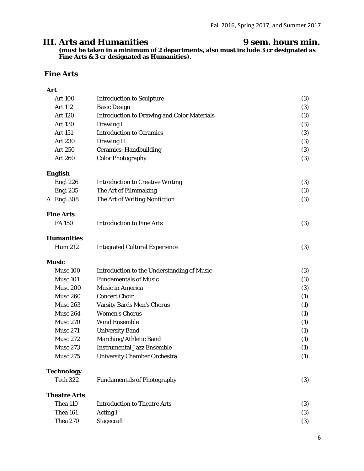### **III. Arts and Humanities 9 sem. hours min.**

**(must be taken in a minimum of 2 departments, also must include 3 cr designated as Fine Arts & 3 cr designated as Humanities).**

#### **Fine Arts**

#### **Art**

| <b>Art 100</b>      | <b>Introduction to Sculpture</b>                   | (3) |
|---------------------|----------------------------------------------------|-----|
| Art 112             | <b>Basic Design</b>                                | (3) |
| <b>Art 120</b>      | <b>Introduction to Drawing and Color Materials</b> | (3) |
| <b>Art 130</b>      | Drawing I                                          | (3) |
| Art 151             | <b>Introduction to Ceramics</b>                    | (3) |
| <b>Art 230</b>      | <b>Drawing II</b>                                  | (3) |
| <b>Art 250</b>      | <b>Ceramics: Handbuilding</b>                      | (3) |
| <b>Art 260</b>      | <b>Color Photography</b>                           | (3) |
| <b>English</b>      |                                                    |     |
| Engl 226            | <b>Introduction to Creative Writing</b>            | (3) |
| Engl 235            | The Art of Filmmaking                              | (3) |
| A Engl 308          | The Art of Writing Nonfiction                      | (3) |
| <b>Fine Arts</b>    |                                                    |     |
| <b>FA150</b>        | <b>Introduction to Fine Arts</b>                   | (3) |
| <b>Humanities</b>   |                                                    |     |
| <b>Hum 212</b>      | <b>Integrated Cultural Experience</b>              | (3) |
| <b>Music</b>        |                                                    |     |
| <b>Musc 100</b>     | <b>Introduction to the Understanding of Music</b>  | (3) |
| <b>Musc 101</b>     | <b>Fundamentals of Music</b>                       | (3) |
| <b>Musc 200</b>     | <b>Music in America</b>                            | (3) |
| <b>Musc 260</b>     | <b>Concert Choir</b>                               | (1) |
| <b>Musc 263</b>     | <b>Varsity Bards Men's Chorus</b>                  | (1) |
| <b>Musc 264</b>     | <b>Women's Chorus</b>                              | (1) |
| <b>Musc 270</b>     | <b>Wind Ensemble</b>                               | (1) |
| <b>Musc 271</b>     | <b>University Band</b>                             | (1) |
| <b>Musc 272</b>     | Marching/Athletic Band                             | (1) |
| <b>Musc 273</b>     | <b>Instrumental Jazz Ensemble</b>                  | (1) |
| <b>Musc 275</b>     | <b>University Chamber Orchestra</b>                | (1) |
| <b>Technology</b>   |                                                    |     |
| <b>Tech 322</b>     | <b>Fundamentals of Photography</b>                 | (3) |
| <b>Theatre Arts</b> |                                                    |     |
| Thea 110            | <b>Introduction to Theatre Arts</b>                | (3) |
| Thea 161            | <b>Acting I</b>                                    | (3) |
| <b>Thea 270</b>     | <b>Stagecraft</b>                                  | (3) |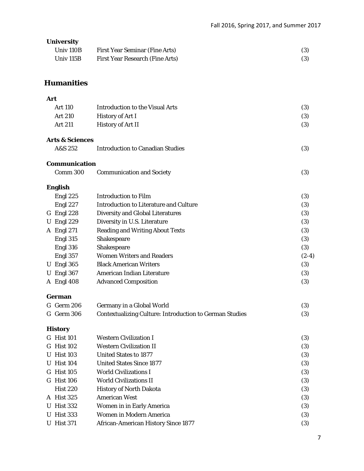#### **University**

| Univ <sub>110B</sub> | <b>First Year Seminar (Fine Arts)</b> |     |
|----------------------|---------------------------------------|-----|
| Univ 115B            | First Year Research (Fine Arts)       | (3) |

#### **Humanities**

#### **Art**

|   | <b>Art 110</b>             | <b>Introduction to the Visual Arts</b>                         | (3)     |
|---|----------------------------|----------------------------------------------------------------|---------|
|   | <b>Art 210</b>             | <b>History of Art I</b>                                        | (3)     |
|   | <b>Art 211</b>             | History of Art II                                              | (3)     |
|   | <b>Arts &amp; Sciences</b> |                                                                |         |
|   | A&S 252                    | <b>Introduction to Canadian Studies</b>                        | (3)     |
|   | <b>Communication</b>       |                                                                |         |
|   | Comm 300                   | <b>Communication and Society</b>                               | (3)     |
|   | <b>English</b>             |                                                                |         |
|   | Engl 225                   | <b>Introduction to Film</b>                                    | (3)     |
|   | Engl 227                   | <b>Introduction to Literature and Culture</b>                  | (3)     |
|   | G Engl 228                 | <b>Diversity and Global Literatures</b>                        | (3)     |
| U | Engl 229                   | Diversity in U.S. Literature                                   | (3)     |
|   | A Engl 271                 | <b>Reading and Writing About Texts</b>                         | (3)     |
|   | Engl 315                   | Shakespeare                                                    | (3)     |
|   | Engl 316                   | Shakespeare                                                    | (3)     |
|   | Engl 357                   | <b>Women Writers and Readers</b>                               | $(2-4)$ |
|   | <b>U</b> Engl 365          | <b>Black American Writers</b>                                  | (3)     |
| U | Engl 367                   | American Indian Literature                                     | (3)     |
|   | A Engl 408                 | <b>Advanced Composition</b>                                    | (3)     |
|   | German                     |                                                                |         |
|   | G Germ 206                 | Germany in a Global World                                      | (3)     |
|   | G Germ 306                 | <b>Contextualizing Culture: Introduction to German Studies</b> | (3)     |
|   | <b>History</b>             |                                                                |         |
|   | <b>G</b> Hist 101          | <b>Western Civilization I</b>                                  | (3)     |
|   | G Hist 102                 | <b>Western Civilization II</b>                                 | (3)     |
|   |                            |                                                                |         |

| G Hist 102        | <b>Western Civilization II</b>             | (3) |
|-------------------|--------------------------------------------|-----|
| <b>U</b> Hist 103 | <b>United States to 1877</b>               | (3) |
| <b>U</b> Hist 104 | <b>United States Since 1877</b>            | (3) |
| G Hist 105        | <b>World Civilizations I</b>               | (3) |
| G Hist 106        | <b>World Civilizations II</b>              | (3) |
| <b>Hist 220</b>   | <b>History of North Dakota</b>             | (3) |
| A Hist 325        | <b>American West</b>                       | (3) |
| <b>U</b> Hist 332 | <b>Women in in Early America</b>           | (3) |
| <b>U</b> Hist 333 | <b>Women in Modern America</b>             | (3) |
| <b>U</b> Hist 371 | <b>African-American History Since 1877</b> | (3) |
|                   |                                            |     |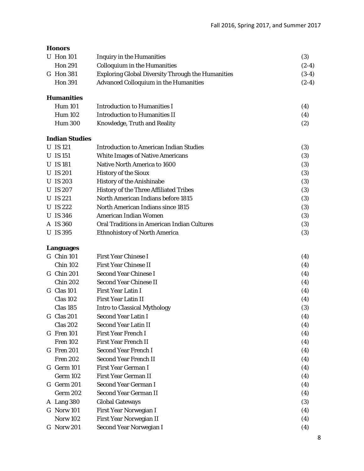#### **Honors**

| (3)                                                                 |
|---------------------------------------------------------------------|
| $(2-4)$<br><b>Colloquium in the Humanities</b>                      |
| $(3-4)$<br><b>Exploring Global Diversity Through the Humanities</b> |
| $(2-4)$<br><b>Advanced Colloquium in the Humanities</b>             |
|                                                                     |

#### **Humanities**

| <b>Hum 101</b> | Introduction to Humanities I  | (4) |
|----------------|-------------------------------|-----|
| Hum 102        | Introduction to Humanities II | (4) |
| <b>Hum 300</b> | Knowledge, Truth and Reality  | (2) |

#### **Indian Studies**

| <b>U</b> IS 121 | <b>Introduction to American Indian Studies</b>     | (3) |
|-----------------|----------------------------------------------------|-----|
| <b>U</b> IS 151 | <b>White Images of Native Americans</b>            | (3) |
| <b>U</b> IS 181 | Native North America to 1600                       | (3) |
| U IS 201        | <b>History of the Sioux</b>                        | (3) |
| U IS 203        | <b>History of the Anishinabe</b>                   | (3) |
| U IS 207        | <b>History of the Three Affiliated Tribes</b>      | (3) |
| U IS 221        | North American Indians before 1815                 | (3) |
| <b>U</b> IS 222 | North American Indians since 1815                  | (3) |
| <b>U</b> IS 346 | American Indian Women                              | (3) |
| A IS 360        | <b>Oral Traditions in American Indian Cultures</b> | (3) |
| U IS 395        | <b>Ethnohistory of North America</b>               | (3) |
|                 |                                                    |     |

#### **Languages**

| $G$ Chin 101    | <b>First Year Chinese I</b>         | (4)               |
|-----------------|-------------------------------------|-------------------|
| <b>Chin 102</b> | <b>First Year Chinese II</b>        | (4)               |
| G Chin 201      | <b>Second Year Chinese I</b>        | (4)               |
| <b>Chin 202</b> | <b>Second Year Chinese II</b>       | (4)               |
| G Clas 101      | <b>First Year Latin I</b>           | (4)               |
| <b>Clas 102</b> | <b>First Year Latin II</b>          | (4)               |
| <b>Clas 185</b> | <b>Intro to Classical Mythology</b> | (3)               |
| G Clas 201      | <b>Second Year Latin I</b>          | (4)               |
| <b>Clas 202</b> | <b>Second Year Latin II</b>         | (4)               |
| $G$ Fren 101    | <b>First Year French I</b>          | (4)               |
| <b>Fren 102</b> | <b>First Year French II</b>         | (4)               |
| G Fren 201      | <b>Second Year French I</b>         | (4)               |
| <b>Fren 202</b> | <b>Second Year French II</b>        | (4)               |
| G Germ 101      | <b>First Year German I</b>          | (4)               |
| Germ 102        | <b>First Year German II</b>         | (4)               |
| G Germ 201      | Second Year German I                | (4)               |
| Germ 202        | Second Year German II               | (4)               |
| A Lang 380      | <b>Global Gateways</b>              | (3)               |
| G Norw 101      | First Year Norwegian I              | (4)               |
| <b>Norw 102</b> | First Year Norwegian II             | (4)               |
| G Norw 201      | Second Year Norwegian I             | $\left( 4\right)$ |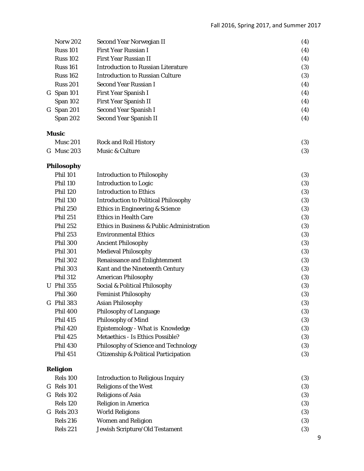| <b>Norw 202</b>   | Second Year Norwegian II                         | (4) |
|-------------------|--------------------------------------------------|-----|
| <b>Russ 101</b>   | <b>First Year Russian I</b>                      | (4) |
| <b>Russ 102</b>   | <b>First Year Russian II</b>                     | (4) |
| <b>Russ 161</b>   | <b>Introduction to Russian Literature</b>        | (3) |
| <b>Russ 162</b>   | <b>Introduction to Russian Culture</b>           | (3) |
| <b>Russ 201</b>   | Second Year Russian I                            | (4) |
| G Span 101        | First Year Spanish I                             | (4) |
| Span 102          | First Year Spanish II                            | (4) |
| G Span 201        | <b>Second Year Spanish I</b>                     | (4) |
| Span 202          | <b>Second Year Spanish II</b>                    | (4) |
| <b>Music</b>      |                                                  |     |
| <b>Musc 201</b>   | <b>Rock and Roll History</b>                     | (3) |
| G Musc 203        | Music & Culture                                  | (3) |
| <b>Philosophy</b> |                                                  |     |
| <b>Phil 101</b>   | <b>Introduction to Philosophy</b>                | (3) |
| <b>Phil 110</b>   | <b>Introduction to Logic</b>                     | (3) |
| <b>Phil 120</b>   | <b>Introduction to Ethics</b>                    | (3) |
| <b>Phil 130</b>   | <b>Introduction to Political Philosophy</b>      | (3) |
| <b>Phil 250</b>   | <b>Ethics in Engineering &amp; Science</b>       | (3) |
| <b>Phil 251</b>   | <b>Ethics in Health Care</b>                     | (3) |
| <b>Phil 252</b>   | Ethics in Business & Public Administration       | (3) |
| <b>Phil 253</b>   | <b>Environmental Ethics</b>                      | (3) |
| <b>Phil 300</b>   | <b>Ancient Philosophy</b>                        | (3) |
| <b>Phil 301</b>   | <b>Medieval Philosophy</b>                       | (3) |
| <b>Phil 302</b>   | <b>Renaissance and Enlightenment</b>             | (3) |
| <b>Phil 303</b>   | Kant and the Nineteenth Century                  | (3) |
| <b>Phil 312</b>   | <b>American Philosophy</b>                       | (3) |
| <b>U</b> Phil 355 | Social & Political Philosophy                    | (3) |
| <b>Phil 360</b>   | <b>Feminist Philosophy</b>                       | (3) |
| G Phil 383        | <b>Asian Philosophy</b>                          | (3) |
| <b>Phil 400</b>   | <b>Philosophy of Language</b>                    | (3) |
| <b>Phil 415</b>   | <b>Philosophy of Mind</b>                        | (3) |
| <b>Phil 420</b>   | Epistemology - What is Knowledge                 | (3) |
| <b>Phil 425</b>   | <b>Metaethics - Is Ethics Possible?</b>          | (3) |
| <b>Phil 430</b>   | <b>Philosophy of Science and Technology</b>      | (3) |
| <b>Phil 451</b>   | <b>Citizenship &amp; Political Participation</b> | (3) |
| <b>Religion</b>   |                                                  |     |
| <b>Rels 100</b>   | <b>Introduction to Religious Inquiry</b>         | (3) |
| G Rels 101        | <b>Religions of the West</b>                     | (3) |
| G Rels 102        | <b>Religions of Asia</b>                         | (3) |
| <b>Rels 120</b>   | Religion in America                              | (3) |
| G Rels 203        | <b>World Religions</b>                           | (3) |
| <b>Rels 216</b>   | <b>Women and Religion</b>                        | (3) |
| <b>Rels 221</b>   | Jewish Scripture/Old Testament                   | (3) |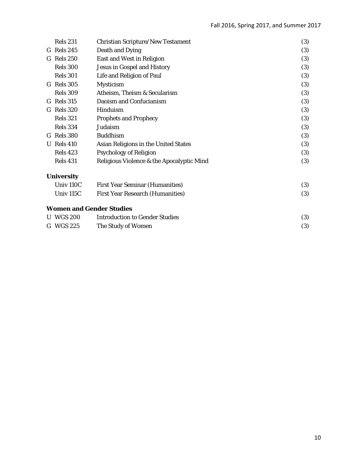|   | <b>Rels</b> 231                 | <b>Christian Scripture/New Testament</b>  | (3) |
|---|---------------------------------|-------------------------------------------|-----|
|   | G Rels 245                      | Death and Dying                           | (3) |
|   | G Rels 250                      | <b>East and West in Religion</b>          | (3) |
|   | <b>Rels 300</b>                 | <b>Jesus in Gospel and History</b>        | (3) |
|   | <b>Rels 301</b>                 | Life and Religion of Paul                 | (3) |
|   | G Rels 305                      | <b>Mysticism</b>                          | (3) |
|   | <b>Rels 309</b>                 | Atheism, Theism & Secularism              | (3) |
|   | G Rels 315                      | Daoism and Confucianism                   | (3) |
|   | G Rels 320                      | Hinduism                                  | (3) |
|   | <b>Rels 321</b>                 | <b>Prophets and Prophecy</b>              | (3) |
|   | <b>Rels 334</b>                 | Judaism                                   | (3) |
|   | G Rels 380                      | <b>Buddhism</b>                           | (3) |
| U | <b>Rels</b> 410                 | Asian Religions in the United States      | (3) |
|   | <b>Rels</b> 423                 | <b>Psychology of Religion</b>             | (3) |
|   | <b>Rels 431</b>                 | Religious Violence & the Apocalyptic Mind | (3) |
|   | <b>University</b>               |                                           |     |
|   | Univ 110C                       | <b>First Year Seminar (Humanities)</b>    | (3) |
|   | Univ 115C                       | <b>First Year Research (Humanities)</b>   | (3) |
|   | <b>Women and Gender Studies</b> |                                           |     |
|   | <b>WGS 200</b>                  | <b>Introduction to Gender Studies</b>     | (3) |
|   | G WGS 225                       | The Study of Women                        | (3) |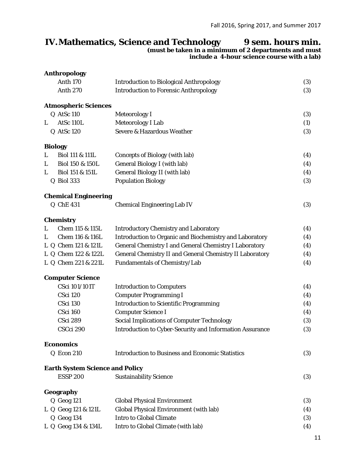## **IV.Mathematics, Science and Technology 9 sem. hours min.**

**(must be taken in a minimum of 2 departments and must** 

| include a 4-hour science course with a lab) |  |  |  |
|---------------------------------------------|--|--|--|
|                                             |  |  |  |

### **Anthropology**  Anth 170 Introduction to Biological Anthropology (3) Anth 270 Introduction to Forensic Anthropology (3) **Atmospheric Sciences**  Q AtSc 110 Meteorology I (3) L AtSc 110L Meteorology I Lab (1) Q AtSc 120 Severe & Hazardous Weather (3) **Biology**  L Biol 111 & 111L Concepts of Biology (with lab) (4) L Biol 150 & 150L General Biology I (with lab) (4) L Biol 151 & 151L General Biology II (with lab) (4) Q Biol 333 Population Biology (3) **Chemical Engineering**  Q ChE 431 Chemical Engineering Lab IV (3) **Chemistry**  L Chem 115 & 115L Introductory Chemistry and Laboratory (4) L Chem 116 & 116L Introduction to Organic and Biochemistry and Laboratory (4) L Q Chem 121 & 121L General Chemistry I and General Chemistry I Laboratory (4) L Q Chem 122 & 122L General Chemistry II and General Chemistry II Laboratory (4) L Q Chem 221 & 221L Fundamentals of Chemistry/Lab (4) **Computer Science**  CSci 101/101T Introduction to Computers (4) CSci 120 Computer Programming I (4) CSci 130 Introduction to Scientific Programming (4) CSci 160 Computer Science I (4) CSci 289 Social Implications of Computer Technology (3) CSCci 290 Introduction to Cyber-Security and Information Assurance (3) **Economics**  Q Econ 210 Introduction to Business and Economic Statistics (3) **Earth System Science and Policy**  ESSP 200 Sustainability Science (3) **Geography**  Q Geog 121 Global Physical Environment (3) L Q Geog 121 & 121L Global Physical Environment (with lab) (4) Q Geog 134 Intro to Global Climate (3) L Q Geog 134 & 134L Intro to Global Climate (with lab) (4)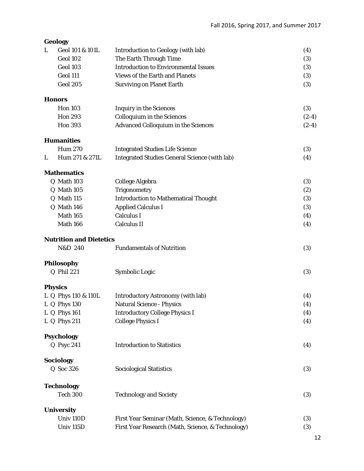|   | <b>Geology</b>                 |                                                      |         |
|---|--------------------------------|------------------------------------------------------|---------|
| L | Geol 101 & 101L                | <b>Introduction to Geology (with lab)</b>            | (4)     |
|   | Geol 102                       | The Earth Through Time                               | (3)     |
|   | Geol 103                       | <b>Introduction to Environmental Issues</b>          | (3)     |
|   | Geol 111                       | <b>Views of the Earth and Planets</b>                | (3)     |
|   | <b>Geol 205</b>                | <b>Surviving on Planet Earth</b>                     | (3)     |
|   | <b>Honors</b>                  |                                                      |         |
|   | <b>Hon 103</b>                 | <b>Inquiry in the Sciences</b>                       | (3)     |
|   | <b>Hon 293</b>                 | <b>Colloquium in the Sciences</b>                    | $(2-4)$ |
|   | <b>Hon 393</b>                 | <b>Advanced Colloquium in the Sciences</b>           | $(2-4)$ |
|   | <b>Humanities</b>              |                                                      |         |
|   | <b>Hum 270</b>                 | <b>Integrated Studies Life Science</b>               | (3)     |
| L | Hum 271 & 271L                 | <b>Integrated Studies General Science (with lab)</b> | (4)     |
|   | <b>Mathematics</b>             |                                                      |         |
|   | Q Math 103                     | College Algebra                                      | (3)     |
|   | Q Math 105                     | Trigonometry                                         | (2)     |
|   | Q Math 115                     | <b>Introduction to Mathematical Thought</b>          | (3)     |
|   | Q Math 146                     | <b>Applied Calculus I</b>                            | (3)     |
|   | Math 165                       | <b>Calculus I</b>                                    | (4)     |
|   | Math 166                       | <b>Calculus II</b>                                   | (4)     |
|   | <b>Nutrition and Dietetics</b> |                                                      |         |
|   | N&D 240                        | <b>Fundamentals of Nutrition</b>                     | (3)     |
|   | Philosophy                     |                                                      |         |
|   | <b>Q</b> Phil 221              | Symbolic Logic                                       | (3)     |
|   | <b>Physics</b>                 |                                                      |         |
|   | L Q Phys 110 & 110L            | <b>Introductory Astronomy (with lab)</b>             | (4)     |
|   | L Q Phys 130                   | <b>Natural Science - Physics</b>                     | (4)     |
|   | L Q Phys 161                   | <b>Introductory College Physics I</b>                | (4)     |
|   | L Q Phys 211                   | <b>College Physics I</b>                             | (4)     |
|   | <b>Psychology</b>              |                                                      |         |
|   | Q Psyc 241                     | <b>Introduction to Statistics</b>                    | (4)     |
|   | <b>Sociology</b>               |                                                      |         |
|   | Q Soc 326                      | <b>Sociological Statistics</b>                       | (3)     |
|   | Technology                     |                                                      |         |
|   | <b>Tech 300</b>                | <b>Technology and Society</b>                        | (3)     |
|   | <b>University</b>              |                                                      |         |
|   | Univ <sub>110D</sub>           | First Year Seminar (Math, Science, & Technology)     | (3)     |
|   | Univ <sub>115D</sub>           | First Year Research (Math, Science, & Technology)    | (3)     |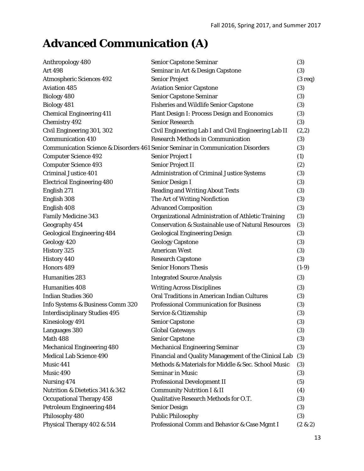# **Advanced Communication (A)**

| Anthropology 480                     | <b>Senior Capstone Seminar</b>                                                  | (3)               |
|--------------------------------------|---------------------------------------------------------------------------------|-------------------|
| <b>Art 498</b>                       | Seminar in Art & Design Capstone                                                | (3)               |
| <b>Atmospheric Sciences 492</b>      | <b>Senior Project</b>                                                           | $(3 \text{ req})$ |
| <b>Aviation 485</b>                  | <b>Aviation Senior Capstone</b>                                                 | (3)               |
| <b>Biology 480</b>                   | <b>Senior Capstone Seminar</b>                                                  | (3)               |
| <b>Biology 481</b>                   | <b>Fisheries and Wildlife Senior Capstone</b>                                   | (3)               |
| <b>Chemical Engineering 411</b>      | <b>Plant Design I: Process Design and Economics</b>                             | (3)               |
| <b>Chemistry 492</b>                 | <b>Senior Research</b>                                                          | (3)               |
| Civil Engineering 301, 302           | Civil Engineering Lab I and Civil Engineering Lab II                            | (2,2)             |
| <b>Communication 410</b>             | <b>Research Methods in Communication</b>                                        | (3)               |
|                                      | Communication Science & Disorders 461 Senior Seminar in Communication Disorders | (3)               |
| <b>Computer Science 492</b>          | <b>Senior Project I</b>                                                         | (1)               |
| <b>Computer Science 493</b>          | <b>Senior Project II</b>                                                        | (2)               |
| <b>Criminal Justice 401</b>          | <b>Administration of Criminal Justice Systems</b>                               | (3)               |
| <b>Electrical Engineering 480</b>    | <b>Senior Design I</b>                                                          | (3)               |
| English 271                          | <b>Reading and Writing About Texts</b>                                          | (3)               |
| English 308                          | The Art of Writing Nonfiction                                                   | (3)               |
| English 408                          | <b>Advanced Composition</b>                                                     | (3)               |
| <b>Family Medicine 343</b>           | Organizational Administration of Athletic Training                              | (3)               |
| Geography 454                        | <b>Conservation &amp; Sustainable use of Natural Resources</b>                  | (3)               |
| <b>Geological Engineering 484</b>    | <b>Geological Engineering Design</b>                                            | (3)               |
| Geology 420                          | <b>Geology Capstone</b>                                                         | (3)               |
| History 325                          | <b>American West</b>                                                            | (3)               |
| <b>History 440</b>                   | <b>Research Capstone</b>                                                        | (3)               |
| Honors 489                           | <b>Senior Honors Thesis</b>                                                     | $(1-9)$           |
| Humanities 283                       | <b>Integrated Source Analysis</b>                                               | (3)               |
| Humanities 408                       | <b>Writing Across Disciplines</b>                                               | (3)               |
| <b>Indian Studies 360</b>            | <b>Oral Traditions in American Indian Cultures</b>                              | (3)               |
| Info Systems & Business Comm 320     | <b>Professional Communication for Business</b>                                  | (3)               |
| <b>Interdisciplinary Studies 495</b> | Service & Citizenship                                                           | (3)               |
| <b>Kinesiology 491</b>               | <b>Senior Capstone</b>                                                          | (3)               |
| Languages 380                        | <b>Global Gateways</b>                                                          | (3)               |
| <b>Math 488</b>                      | <b>Senior Capstone</b>                                                          | (3)               |
| <b>Mechanical Engineering 480</b>    | <b>Mechanical Engineering Seminar</b>                                           | (3)               |
| <b>Medical Lab Science 490</b>       | Financial and Quality Management of the Clinical Lab                            | (3)               |
| Music 441                            | Methods & Materials for Middle & Sec. School Music                              | (3)               |
| Music 490                            | <b>Seminar in Music</b>                                                         | (3)               |
| Nursing 474                          | <b>Professional Development II</b>                                              | (5)               |
| Nutrition & Dietetics 341 & 342      | <b>Community Nutrition I &amp; II</b>                                           | (4)               |
| <b>Occupational Therapy 458</b>      | Qualitative Research Methods for O.T.                                           | (3)               |
| <b>Petroleum Engineering 484</b>     | <b>Senior Design</b>                                                            | (3)               |
| Philosophy 480                       | <b>Public Philosophy</b>                                                        | (3)               |
| Physical Therapy 402 & 514           | Professional Comm and Behavior & Case Mgmt I                                    | $(2 \& 2)$        |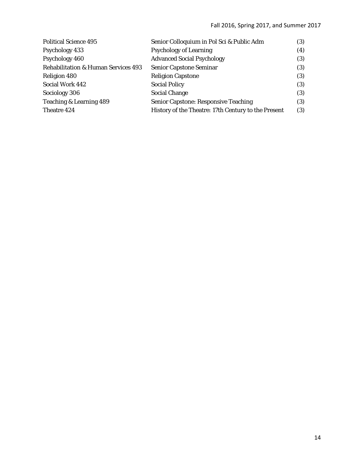| <b>Political Science 495</b>                   | Senior Colloquium in Pol Sci & Public Adm           | (3) |
|------------------------------------------------|-----------------------------------------------------|-----|
| <b>Psychology 433</b>                          | <b>Psychology of Learning</b>                       | (4) |
| Psychology 460                                 | <b>Advanced Social Psychology</b>                   | (3) |
| <b>Rehabilitation &amp; Human Services 493</b> | <b>Senior Capstone Seminar</b>                      | (3) |
| Religion 480                                   | <b>Religion Capstone</b>                            | (3) |
| Social Work 442                                | <b>Social Policy</b>                                | (3) |
| Sociology 306                                  | <b>Social Change</b>                                | (3) |
| Teaching & Learning 489                        | <b>Senior Capstone: Responsive Teaching</b>         | (3) |
| Theatre 424                                    | History of the Theatre: 17th Century to the Present | (3) |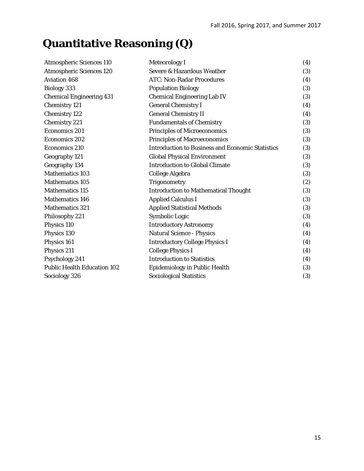# **Quantitative Reasoning (Q)**

| <b>Atmospheric Sciences 110</b>    | <b>Meteorology I</b>                                    | (4) |
|------------------------------------|---------------------------------------------------------|-----|
| <b>Atmospheric Sciences 120</b>    | Severe & Hazardous Weather                              | (3) |
| <b>Aviation 468</b>                | <b>ATC: Non-Radar Procedures</b>                        | (4) |
| <b>Biology 333</b>                 | <b>Population Biology</b>                               | (3) |
| <b>Chemical Engineering 431</b>    | <b>Chemical Engineering Lab IV</b>                      | (3) |
| <b>Chemistry 121</b>               | <b>General Chemistry I</b>                              | (4) |
| <b>Chemistry 122</b>               | <b>General Chemistry II</b>                             | (4) |
| <b>Chemistry 221</b>               | <b>Fundamentals of Chemistry</b>                        | (3) |
| <b>Economics 201</b>               | <b>Principles of Microeconomics</b>                     | (3) |
| <b>Economics 202</b>               | <b>Principles of Macroeconomics</b>                     | (3) |
| <b>Economics 210</b>               | <b>Introduction to Business and Economic Statistics</b> | (3) |
| Geography 121                      | <b>Global Physical Environment</b>                      | (3) |
| Geography 134                      | <b>Introduction to Global Climate</b>                   | (3) |
| <b>Mathematics 103</b>             | College Algebra                                         | (3) |
| <b>Mathematics 105</b>             | <b>Trigonometry</b>                                     | (2) |
| <b>Mathematics 115</b>             | <b>Introduction to Mathematical Thought</b>             | (3) |
| <b>Mathematics 146</b>             | <b>Applied Calculus I</b>                               | (3) |
| <b>Mathematics 321</b>             | <b>Applied Statistical Methods</b>                      | (3) |
| Philosophy 221                     | Symbolic Logic                                          | (3) |
| Physics 110                        | <b>Introductory Astronomy</b>                           | (4) |
| Physics 130                        | <b>Natural Science - Physics</b>                        | (4) |
| Physics 161                        | <b>Introductory College Physics I</b>                   | (4) |
| Physics 211                        | <b>College Physics I</b>                                | (4) |
| Psychology 241                     | <b>Introduction to Statistics</b>                       | (4) |
| <b>Public Health Education 102</b> | <b>Epidemiology in Public Health</b>                    | (3) |
| Sociology 326                      | <b>Sociological Statistics</b>                          | (3) |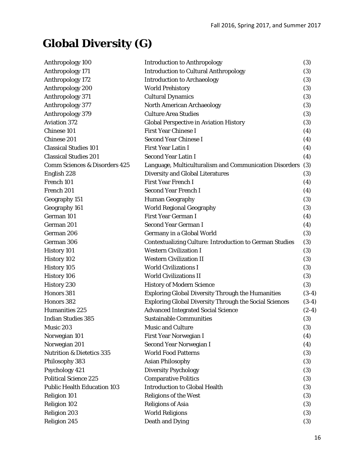# **Global Diversity (G)**

| Anthropology 100                         | <b>Introduction to Anthropology</b>                            | (3)     |
|------------------------------------------|----------------------------------------------------------------|---------|
| Anthropology 171                         | <b>Introduction to Cultural Anthropology</b>                   | (3)     |
| Anthropology 172                         | <b>Introduction to Archaeology</b>                             | (3)     |
| Anthropology 200                         | <b>World Prehistory</b>                                        | (3)     |
| Anthropology 371                         | <b>Cultural Dynamics</b>                                       | (3)     |
| Anthropology 377                         | <b>North American Archaeology</b>                              | (3)     |
| Anthropology 379                         | <b>Culture Area Studies</b>                                    | (3)     |
| <b>Aviation 372</b>                      | <b>Global Perspective in Aviation History</b>                  | (3)     |
| Chinese 101                              | <b>First Year Chinese I</b>                                    | (4)     |
| Chinese 201                              | <b>Second Year Chinese I</b>                                   | (4)     |
| <b>Classical Studies 101</b>             | <b>First Year Latin I</b>                                      | (4)     |
| <b>Classical Studies 201</b>             | <b>Second Year Latin I</b>                                     | (4)     |
| <b>Comm Sciences &amp; Disorders 425</b> | Language, Multiculturalism and Communication Disorders         | (3)     |
| English 228                              | <b>Diversity and Global Literatures</b>                        | (3)     |
| French 101                               | <b>First Year French I</b>                                     | (4)     |
| French 201                               | <b>Second Year French I</b>                                    | (4)     |
| Geography 151                            | <b>Human Geography</b>                                         | (3)     |
| Geography 161                            | <b>World Regional Geography</b>                                | (3)     |
| German 101                               | First Year German I                                            | (4)     |
| German 201                               | <b>Second Year German I</b>                                    | (4)     |
| German 206                               | Germany in a Global World                                      | (3)     |
| German 306                               | <b>Contextualizing Culture: Introduction to German Studies</b> | (3)     |
| <b>History 101</b>                       | <b>Western Civilization I</b>                                  | (3)     |
| History 102                              | <b>Western Civilization II</b>                                 | (3)     |
| <b>History 105</b>                       | <b>World Civilizations I</b>                                   | (3)     |
| <b>History 106</b>                       | <b>World Civilizations II</b>                                  | (3)     |
| History 230                              | <b>History of Modern Science</b>                               | (3)     |
| Honors 381                               | <b>Exploring Global Diversity Through the Humanities</b>       | $(3-4)$ |
| Honors 382                               | <b>Exploring Global Diversity Through the Social Sciences</b>  | $(3-4)$ |
| Humanities 225                           | <b>Advanced Integrated Social Science</b>                      | $(2-4)$ |
| <b>Indian Studies 385</b>                | <b>Sustainable Communities</b>                                 | (3)     |
| Music 203                                | <b>Music and Culture</b>                                       | (3)     |
| Norwegian 101                            | First Year Norwegian I                                         | (4)     |
| Norwegian 201                            | Second Year Norwegian I                                        | (4)     |
| <b>Nutrition &amp; Dietetics 335</b>     | <b>World Food Patterns</b>                                     | (3)     |
| Philosophy 383                           | <b>Asian Philosophy</b>                                        | (3)     |
| Psychology 421                           | <b>Diversity Psychology</b>                                    | (3)     |
| <b>Political Science 225</b>             | <b>Comparative Politics</b>                                    | (3)     |
| <b>Public Health Education 103</b>       | <b>Introduction to Global Health</b>                           | (3)     |
| <b>Religion 101</b>                      | <b>Religions of the West</b>                                   | (3)     |
| <b>Religion 102</b>                      | <b>Religions of Asia</b>                                       | (3)     |
| <b>Religion 203</b>                      | <b>World Religions</b>                                         | (3)     |
| <b>Religion 245</b>                      | <b>Death and Dying</b>                                         | (3)     |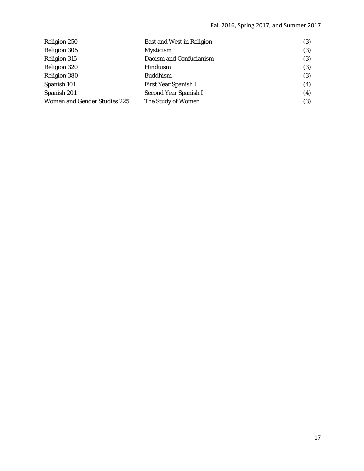| <b>Religion 250</b>                 | <b>East and West in Religion</b> | (3) |
|-------------------------------------|----------------------------------|-----|
| <b>Religion 305</b>                 | <b>Mysticism</b>                 | (3) |
| <b>Religion 315</b>                 | Daoism and Confucianism          | (3) |
| Religion 320                        | Hinduism                         | (3) |
| Religion 380                        | <b>Buddhism</b>                  | (3) |
| Spanish 101                         | <b>First Year Spanish I</b>      | (4) |
| Spanish 201                         | Second Year Spanish I            | (4) |
| <b>Women and Gender Studies 225</b> | The Study of Women               | (3) |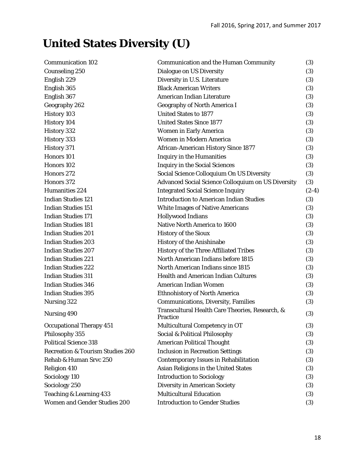# **United States Diversity (U)**

| <b>Communication 102</b>                    | <b>Communication and the Human Community</b>                | (3)     |
|---------------------------------------------|-------------------------------------------------------------|---------|
| <b>Counseling 250</b>                       | <b>Dialogue on US Diversity</b>                             | (3)     |
| English 229                                 | Diversity in U.S. Literature                                | (3)     |
| English 365                                 | <b>Black American Writers</b>                               | (3)     |
| English 367                                 | American Indian Literature                                  | (3)     |
| Geography 262                               | <b>Geography of North America I</b>                         | (3)     |
| <b>History 103</b>                          | <b>United States to 1877</b>                                | (3)     |
| <b>History 104</b>                          | <b>United States Since 1877</b>                             | (3)     |
| History 332                                 | <b>Women in Early America</b>                               | (3)     |
| History 333                                 | <b>Women in Modern America</b>                              | (3)     |
| History 371                                 | <b>African-American History Since 1877</b>                  | (3)     |
| Honors 101                                  | <b>Inquiry in the Humanities</b>                            | (3)     |
| Honors 102                                  | <b>Inquiry in the Social Sciences</b>                       | (3)     |
| Honors 272                                  | Social Science Colloquium On US Diversity                   | (3)     |
| Honors 372                                  | <b>Advanced Social Science Colloquium on US Diversity</b>   | (3)     |
| <b>Humanities 224</b>                       | <b>Integrated Social Science Inquiry</b>                    | $(2-4)$ |
| <b>Indian Studies 121</b>                   | <b>Introduction to American Indian Studies</b>              | (3)     |
| <b>Indian Studies 151</b>                   | <b>White Images of Native Americans</b>                     | (3)     |
| <b>Indian Studies 171</b>                   | <b>Hollywood Indians</b>                                    | (3)     |
| <b>Indian Studies 181</b>                   | Native North America to 1600                                | (3)     |
| <b>Indian Studies 201</b>                   | <b>History of the Sioux</b>                                 | (3)     |
| <b>Indian Studies 203</b>                   | <b>History of the Anishinabe</b>                            | (3)     |
| <b>Indian Studies 207</b>                   | <b>History of the Three Affiliated Tribes</b>               | (3)     |
| <b>Indian Studies 221</b>                   | North American Indians before 1815                          | (3)     |
| <b>Indian Studies 222</b>                   | North American Indians since 1815                           | (3)     |
| <b>Indian Studies 311</b>                   | <b>Health and American Indian Cultures</b>                  | (3)     |
| <b>Indian Studies 346</b>                   | American Indian Women                                       | (3)     |
| <b>Indian Studies 395</b>                   | <b>Ethnohistory of North America</b>                        | (3)     |
| Nursing 322                                 | <b>Communications, Diversity, Families</b>                  | (3)     |
| Nursing 490                                 | Transcultural Health Care Theories, Research, &<br>Practice | (3)     |
| <b>Occupational Therapy 451</b>             | Multicultural Competency in OT                              | (3)     |
| Philosophy 355                              | Social & Political Philosophy                               | (3)     |
| <b>Political Science 318</b>                | <b>American Political Thought</b>                           | (3)     |
| <b>Recreation &amp; Tourism Studies 260</b> | <b>Inclusion in Recreation Settings</b>                     | (3)     |
| Rehab & Human Srvc 250                      | <b>Contemporary Issues in Rehabilitation</b>                | (3)     |
| <b>Religion 410</b>                         | Asian Religions in the United States                        | (3)     |
| Sociology 110                               | <b>Introduction to Sociology</b>                            | (3)     |
| Sociology 250                               | <b>Diversity in American Society</b>                        | (3)     |
| Teaching & Learning 433                     | <b>Multicultural Education</b>                              | (3)     |
| <b>Women and Gender Studies 200</b>         | <b>Introduction to Gender Studies</b>                       | (3)     |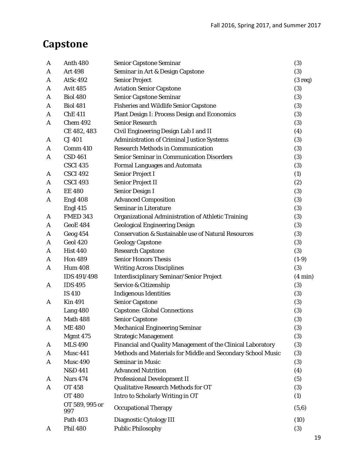## **Capstone**

| A | <b>Anth 480</b>       | <b>Senior Capstone Seminar</b>                                 | (3)               |
|---|-----------------------|----------------------------------------------------------------|-------------------|
| A | <b>Art 498</b>        | Seminar in Art & Design Capstone                               | (3)               |
| A | <b>AtSc 492</b>       | <b>Senior Project</b>                                          | $(3 \text{ req})$ |
| A | <b>Avit 485</b>       | <b>Aviation Senior Capstone</b>                                | (3)               |
| A | <b>Biol 480</b>       | <b>Senior Capstone Seminar</b>                                 | (3)               |
| A | <b>Biol 481</b>       | <b>Fisheries and Wildlife Senior Capstone</b>                  | (3)               |
| A | <b>ChE 411</b>        | <b>Plant Design I: Process Design and Economics</b>            | (3)               |
| A | Chem 492              | <b>Senior Research</b>                                         | (3)               |
|   | CE 482, 483           | Civil Engineering Design Lab I and II                          | (4)               |
| A | CJ 401                | <b>Administration of Criminal Justice Systems</b>              | (3)               |
| A | Comm 410              | <b>Research Methods in Communication</b>                       | (3)               |
| A | <b>CSD 461</b>        | Senior Seminar in Communication Disorders                      | (3)               |
|   | <b>CSCI 435</b>       | <b>Formal Languages and Automata</b>                           | (3)               |
| A | <b>CSCI 492</b>       | <b>Senior Project I</b>                                        | (1)               |
| A | <b>CSCI 493</b>       | <b>Senior Project II</b>                                       | (2)               |
| A | <b>EE 480</b>         | <b>Senior Design I</b>                                         | (3)               |
| A | Engl 408              | <b>Advanced Composition</b>                                    | (3)               |
|   | Engl 415              | <b>Seminar in Literature</b>                                   | (3)               |
| A | <b>FMED 343</b>       | Organizational Administration of Athletic Training             | (3)               |
| A | <b>GeoE 484</b>       | <b>Geological Engineering Design</b>                           | (3)               |
| A | Geog 454              | <b>Conservation &amp; Sustainable use of Natural Resources</b> | (3)               |
| A | <b>Geol 420</b>       | <b>Geology Capstone</b>                                        | (3)               |
| A | <b>Hist 440</b>       | <b>Research Capstone</b>                                       | (3)               |
| A | <b>Hon 489</b>        | <b>Senior Honors Thesis</b>                                    | $(1-9)$           |
| A | <b>Hum 408</b>        | <b>Writing Across Disciplines</b>                              | (3)               |
|   | IDS 491/498           | <b>Interdisciplinary Seminar/Senior Project</b>                | $(4 \text{ min})$ |
| A | <b>IDS 495</b>        | Service & Citizenship                                          | (3)               |
|   | <b>IS 410</b>         | <b>Indigenous Identities</b>                                   | (3)               |
| A | <b>Kin 491</b>        | <b>Senior Capstone</b>                                         | (3)               |
|   | Lang 480              | <b>Capstone: Global Connections</b>                            | (3)               |
| A | Math 488              | <b>Senior Capstone</b>                                         | (3)               |
| A | <b>ME480</b>          | <b>Mechanical Engineering Seminar</b>                          | (3)               |
|   | Mgmt 475              | <b>Strategic Management</b>                                    | (3)               |
| A | <b>MLS 490</b>        | Financial and Quality Management of the Clinical Laboratory    | (3)               |
| A | Musc 441              | Methods and Materials for Middle and Secondary School Music    | (3)               |
| A | Musc 490              | <b>Seminar in Music</b>                                        | (3)               |
|   | N&D 441               | <b>Advanced Nutrition</b>                                      | (4)               |
| A | <b>Nurs 474</b>       | <b>Professional Development II</b>                             | (5)               |
| A | <b>OT 458</b>         | Qualitative Research Methods for OT                            | (3)               |
|   | <b>OT 480</b>         | Intro to Scholarly Writing in OT                               | (1)               |
|   | OT 589, 995 or<br>997 | <b>Occupational Therapy</b>                                    | (5,6)             |
|   | <b>Path 403</b>       | Diagnostic Cytology III                                        | (10)              |
| A | <b>Phil 480</b>       | <b>Public Philosophy</b>                                       | (3)               |